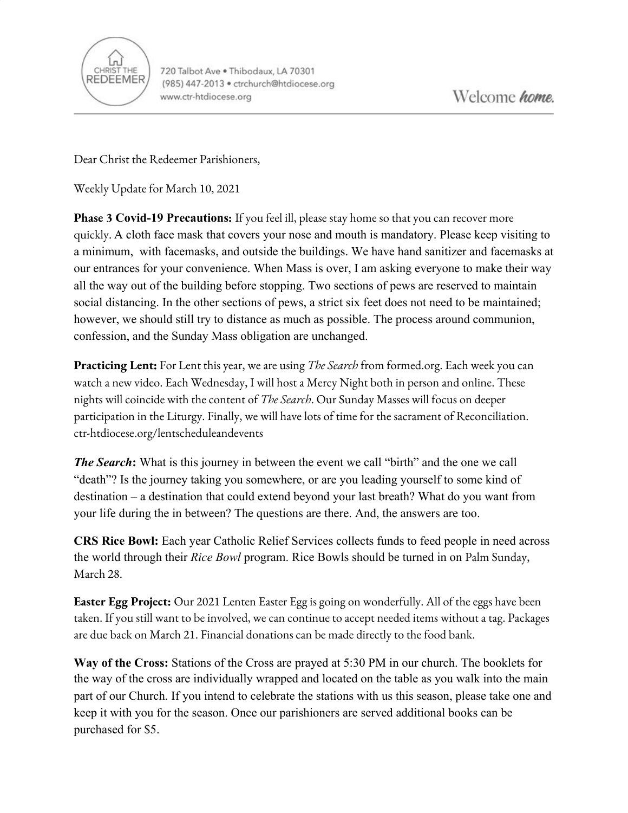

720 Talbot Ave . Thibodaux, LA 70301 (985) 447-2013 · ctrchurch@htdiocese.org www.ctr-htdiocese.org

Dear Christ the Redeemer Parishioners,

Weekly Update for March 10, 2021

**Phase 3 Covid-19 Precautions:** If you feel ill, please stay home so that you can recover more quickly. A cloth face mask that covers your nose and mouth is mandatory. Please keep visiting to a minimum, with facemasks, and outside the buildings. We have hand sanitizer and facemasks at our entrances for your convenience. When Mass is over, I am asking everyone to make their way all the way out of the building before stopping. Two sections of pews are reserved to maintain social distancing. In the other sections of pews, a strict six feet does not need to be maintained; however, we should still try to distance as much as possible. The process around communion, confession, and the Sunday Mass obligation are unchanged.

**Practicing Lent:** For Lent this year, we are using *The Search* from formed.org. Each week you can watch a new video. Each Wednesday, I will host a Mercy Night both in person and online. These nights will coincide with the content of *The Search*. Our Sunday Masses will focus on deeper participation in the Liturgy. Finally, we will have lots of time for the sacrament of Reconciliation. ctr-htdiocese.org/lentscheduleandevents

*The Search*: What is this journey in between the event we call "birth" and the one we call "death"? Is the journey taking you somewhere, or are you leading yourself to some kind of destination – a destination that could extend beyond your last breath? What do you want from your life during the in between? The questions are there. And, the answers are too.

**CRS Rice Bowl:** Each year Catholic Relief Services collects funds to feed people in need across the world through their *Rice Bowl* program. Rice Bowls should be turned in on Palm Sunday, March 28.

**Easter Egg Project:** Our 2021 Lenten Easter Egg is going on wonderfully. All of the eggs have been taken. If you still want to be involved, we can continue to accept needed items without a tag. Packages are due back on March 21. Financial donations can be made directly to the food bank.

**Way of the Cross:** Stations of the Cross are prayed at 5:30 PM in our church. The booklets for the way of the cross are individually wrapped and located on the table as you walk into the main part of our Church. If you intend to celebrate the stations with us this season, please take one and keep it with you for the season. Once our parishioners are served additional books can be purchased for \$5.